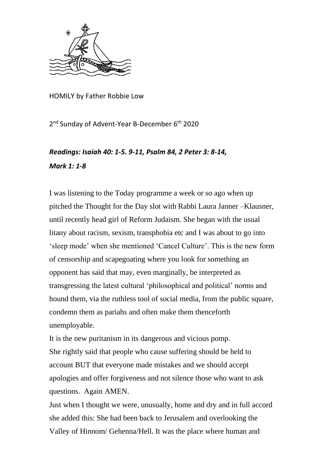

HOMILY by Father Robbie Low

2<sup>nd</sup> Sunday of Advent-Year B-December 6<sup>th</sup> 2020

## *Readings: Isaiah 40: 1-5. 9-11, Psalm 84, 2 Peter 3: 8-14, Mark 1: 1-8*

I was listening to the Today programme a week or so ago when up pitched the Thought for the Day slot with Rabbi Laura Janner –Klausner, until recently head girl of Reform Judaism. She began with the usual litany about racism, sexism, transphobia etc and I was about to go into 'sleep mode' when she mentioned 'Cancel Culture'. This is the new form of censorship and scapegoating where you look for something an opponent has said that may, even marginally, be interpreted as transgressing the latest cultural 'philosophical and political' norms and hound them, via the ruthless tool of social media, from the public square, condemn them as pariahs and often make them thenceforth unemployable.

It is the new puritanism in its dangerous and vicious pomp. She rightly said that people who cause suffering should be held to account BUT that everyone made mistakes and we should accept apologies and offer forgiveness and not silence those who want to ask questions. Again AMEN.

Just when I thought we were, unusually, home and dry and in full accord she added this: She had been back to Jerusalem and overlooking the Valley of Hinnom/ Gehenna/Hell. It was the place where human and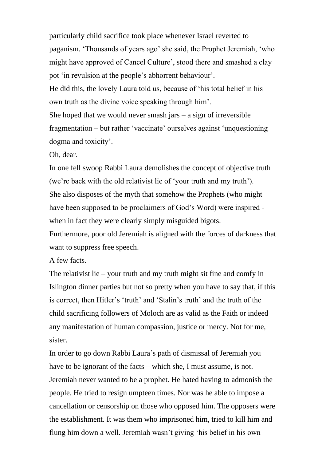particularly child sacrifice took place whenever Israel reverted to paganism. 'Thousands of years ago' she said, the Prophet Jeremiah, 'who might have approved of Cancel Culture', stood there and smashed a clay pot 'in revulsion at the people's abhorrent behaviour'. He did this, the lovely Laura told us, because of 'his total belief in his own truth as the divine voice speaking through him'. She hoped that we would never smash jars  $-$  a sign of irreversible fragmentation – but rather 'vaccinate' ourselves against 'unquestioning dogma and toxicity'.

Oh, dear.

In one fell swoop Rabbi Laura demolishes the concept of objective truth (we're back with the old relativist lie of 'your truth and my truth'). She also disposes of the myth that somehow the Prophets (who might have been supposed to be proclaimers of God's Word) were inspired when in fact they were clearly simply misguided bigots.

Furthermore, poor old Jeremiah is aligned with the forces of darkness that want to suppress free speech.

A few facts.

The relativist lie – your truth and my truth might sit fine and comfy in Islington dinner parties but not so pretty when you have to say that, if this is correct, then Hitler's 'truth' and 'Stalin's truth' and the truth of the child sacrificing followers of Moloch are as valid as the Faith or indeed any manifestation of human compassion, justice or mercy. Not for me, sister.

In order to go down Rabbi Laura's path of dismissal of Jeremiah you have to be ignorant of the facts – which she, I must assume, is not. Jeremiah never wanted to be a prophet. He hated having to admonish the people. He tried to resign umpteen times. Nor was he able to impose a cancellation or censorship on those who opposed him. The opposers were the establishment. It was them who imprisoned him, tried to kill him and flung him down a well. Jeremiah wasn't giving 'his belief in his own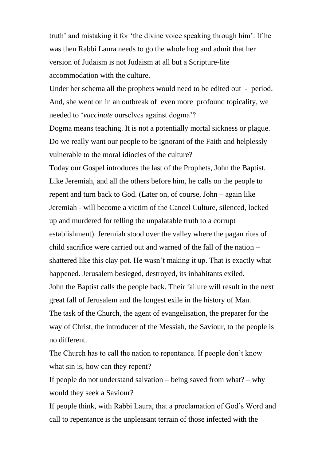truth' and mistaking it for 'the divine voice speaking through him'. If he was then Rabbi Laura needs to go the whole hog and admit that her version of Judaism is not Judaism at all but a Scripture-lite accommodation with the culture.

Under her schema all the prophets would need to be edited out - period. And, she went on in an outbreak of even more profound topicality, we needed to '*vaccinate* ourselves against dogma'?

Dogma means teaching. It is not a potentially mortal sickness or plague. Do we really want our people to be ignorant of the Faith and helplessly vulnerable to the moral idiocies of the culture?

Today our Gospel introduces the last of the Prophets, John the Baptist. Like Jeremiah, and all the others before him, he calls on the people to repent and turn back to God. (Later on, of course, John – again like Jeremiah - will become a victim of the Cancel Culture, silenced, locked up and murdered for telling the unpalatable truth to a corrupt establishment). Jeremiah stood over the valley where the pagan rites of child sacrifice were carried out and warned of the fall of the nation – shattered like this clay pot. He wasn't making it up. That is exactly what happened. Jerusalem besieged, destroyed, its inhabitants exiled. John the Baptist calls the people back. Their failure will result in the next great fall of Jerusalem and the longest exile in the history of Man. The task of the Church, the agent of evangelisation, the preparer for the way of Christ, the introducer of the Messiah, the Saviour, to the people is no different.

The Church has to call the nation to repentance. If people don't know what sin is, how can they repent?

If people do not understand salvation – being saved from what? – why would they seek a Saviour?

If people think, with Rabbi Laura, that a proclamation of God's Word and call to repentance is the unpleasant terrain of those infected with the